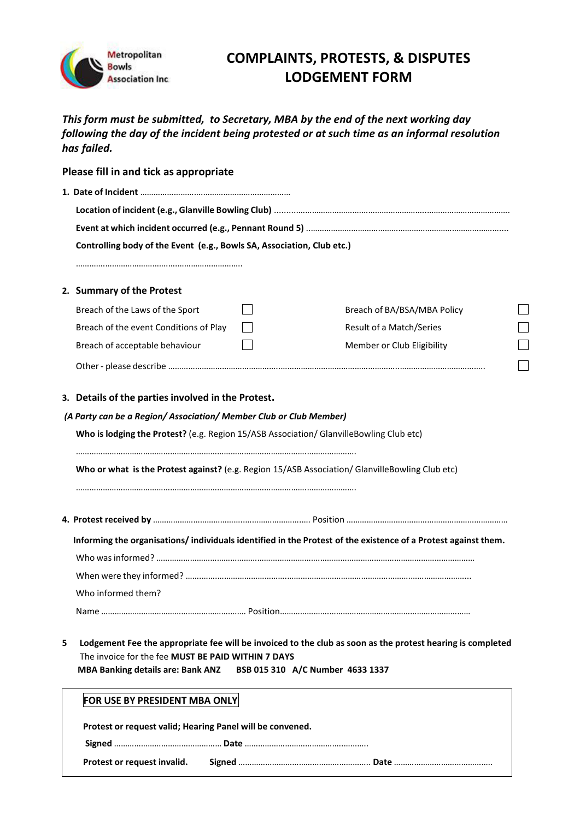

## **COMPLAINTS, PROTESTS, & DISPUTES LODGEMENT FORM**

*This form must be submitted, to Secretary, MBA by the end of the next working day following the day of the incident being protested or at such time as an informal resolution has failed.* 

| Please fill in and tick as appropriate                                 |                                                                                                                          |  |                                                                                                               |  |  |
|------------------------------------------------------------------------|--------------------------------------------------------------------------------------------------------------------------|--|---------------------------------------------------------------------------------------------------------------|--|--|
|                                                                        |                                                                                                                          |  |                                                                                                               |  |  |
|                                                                        |                                                                                                                          |  |                                                                                                               |  |  |
|                                                                        |                                                                                                                          |  |                                                                                                               |  |  |
| Controlling body of the Event (e.g., Bowls SA, Association, Club etc.) |                                                                                                                          |  |                                                                                                               |  |  |
|                                                                        |                                                                                                                          |  |                                                                                                               |  |  |
|                                                                        | 2. Summary of the Protest                                                                                                |  |                                                                                                               |  |  |
|                                                                        | Breach of the Laws of the Sport                                                                                          |  | Breach of BA/BSA/MBA Policy                                                                                   |  |  |
|                                                                        | Breach of the event Conditions of Play                                                                                   |  | Result of a Match/Series                                                                                      |  |  |
|                                                                        | Breach of acceptable behaviour                                                                                           |  | Member or Club Eligibility                                                                                    |  |  |
|                                                                        |                                                                                                                          |  |                                                                                                               |  |  |
|                                                                        |                                                                                                                          |  |                                                                                                               |  |  |
|                                                                        | 3. Details of the parties involved in the Protest.                                                                       |  |                                                                                                               |  |  |
|                                                                        | (A Party can be a Region/Association/Member Club or Club Member)                                                         |  |                                                                                                               |  |  |
|                                                                        | Who is lodging the Protest? (e.g. Region 15/ASB Association/ GlanvilleBowling Club etc)                                  |  |                                                                                                               |  |  |
|                                                                        | Who or what is the Protest against? (e.g. Region 15/ASB Association/ GlanvilleBowling Club etc)                          |  |                                                                                                               |  |  |
|                                                                        |                                                                                                                          |  |                                                                                                               |  |  |
|                                                                        |                                                                                                                          |  | Informing the organisations/individuals identified in the Protest of the existence of a Protest against them. |  |  |
|                                                                        |                                                                                                                          |  |                                                                                                               |  |  |
|                                                                        |                                                                                                                          |  |                                                                                                               |  |  |
|                                                                        | Who informed them?                                                                                                       |  |                                                                                                               |  |  |
|                                                                        | Name ………………………………………………………… Position……………………………………………………………………………                                                        |  |                                                                                                               |  |  |
| 5                                                                      | The invoice for the fee MUST BE PAID WITHIN 7 DAYS<br>MBA Banking details are: Bank ANZ BSB 015 310 A/C Number 4633 1337 |  | Lodgement Fee the appropriate fee will be invoiced to the club as soon as the protest hearing is completed    |  |  |
|                                                                        | FOR USE BY PRESIDENT MBA ONLY                                                                                            |  |                                                                                                               |  |  |
|                                                                        | Protest or request valid; Hearing Panel will be convened.                                                                |  |                                                                                                               |  |  |
|                                                                        |                                                                                                                          |  |                                                                                                               |  |  |

**Protest or request invalid. Signed** ………………………………………………….. **Date** ……………………………………..